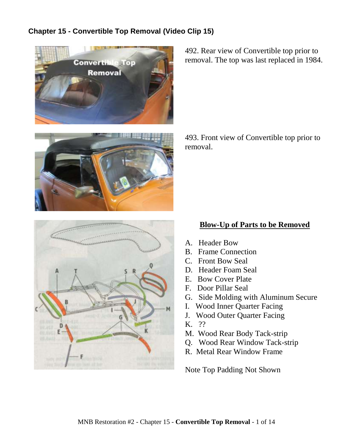## **Chapter 15 - Convertible Top Removal (Video Clip 15)**





492. Rear view of Convertible top prior to removal. The top was last replaced in 1984.

493. Front view of Convertible top prior to removal.

## **Blow-Up of Parts to be Removed**

- A. Header Bow
- B. Frame Connection
- C. Front Bow Seal
- D. Header Foam Seal
- E. Bow Cover Plate
- F. Door Pillar Seal
- G. Side Molding with Aluminum Secure
- I. Wood Inner Quarter Facing
- J. Wood Outer Quarter Facing
- K. ??
- M. Wood Rear Body Tack-strip
- Q. Wood Rear Window Tack-strip
- R. Metal Rear Window Frame

Note Top Padding Not Shown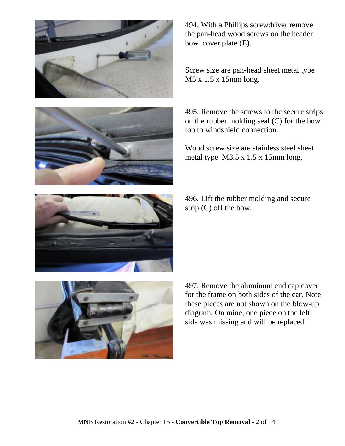



494. With a Phillips screwdriver remove the pan-head wood screws on the header bow cover plate (E).

Screw size are pan-head sheet metal type M5 x 1.5 x 15mm long.

495. Remove the screws to the secure strips on the rubber molding seal (C) for the bow top to windshield connection.

Wood screw size are stainless steel sheet metal type M3.5 x 1.5 x 15mm long.

496. Lift the rubber molding and secure strip (C) off the bow.



497. Remove the aluminum end cap cover for the frame on both sides of the car. Note these pieces are not shown on the blow-up diagram. On mine, one piece on the left side was missing and will be replaced.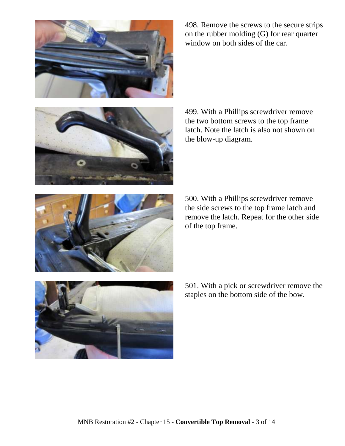

498. Remove the screws to the secure strips on the rubber molding (G) for rear quarter window on both sides of the car.



499. With a Phillips screwdriver remove the two bottom screws to the top frame latch. Note the latch is also not shown on the blow-up diagram.



500. With a Phillips screwdriver remove the side screws to the top frame latch and remove the latch. Repeat for the other side of the top frame.



501. With a pick or screwdriver remove the staples on the bottom side of the bow.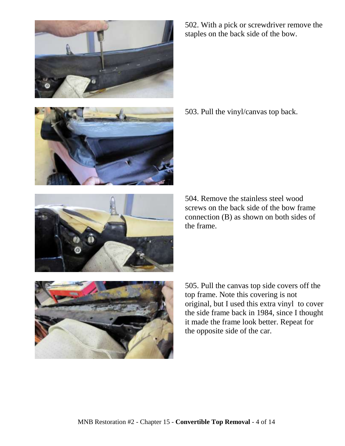





503. Pull the vinyl/canvas top back.



504. Remove the stainless steel wood screws on the back side of the bow frame connection (B) as shown on both sides of the frame.



505. Pull the canvas top side covers off the top frame. Note this covering is not original, but I used this extra vinyl to cover the side frame back in 1984, since I thought it made the frame look better. Repeat for the opposite side of the car.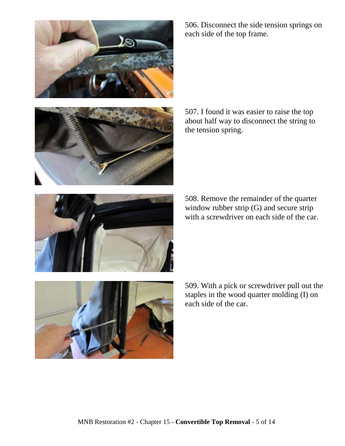



506. Disconnect the side tension springs on each side of the top frame.

507. I found it was easier to raise the top about half way to disconnect the string to the tension spring.

508. Remove the remainder of the quarter window rubber strip (G) and secure strip with a screwdriver on each side of the car.



509. With a pick or screwdriver pull out the staples in the wood quarter molding (I) on each side of the car.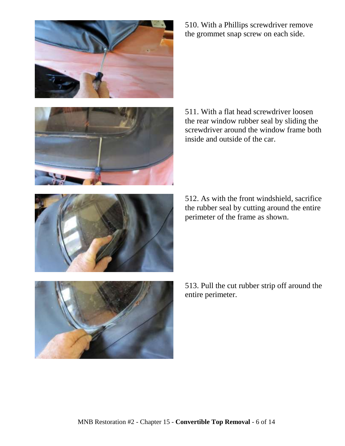



510. With a Phillips screwdriver remove the grommet snap screw on each side.

511. With a flat head screwdriver loosen the rear window rubber seal by sliding the screwdriver around the window frame both inside and outside of the car.

512. As with the front windshield, sacrifice the rubber seal by cutting around the entire perimeter of the frame as shown.



513. Pull the cut rubber strip off around the entire perimeter.

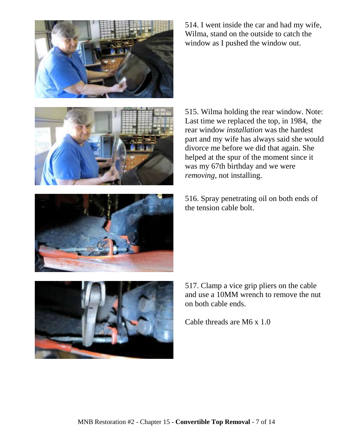

514. I went inside the car and had my wife, Wilma, stand on the outside to catch the window as I pushed the window out.



515. Wilma holding the rear window. Note: Last time we replaced the top, in 1984, the rear window *installation* was the hardest part and my wife has always said she would divorce me before we did that again. She helped at the spur of the moment since it was my 67th birthday and we were *removing*, not installing.

516. Spray penetrating oil on both ends of the tension cable bolt.



517. Clamp a vice grip pliers on the cable and use a 10MM wrench to remove the nut on both cable ends.

Cable threads are M6 x 1.0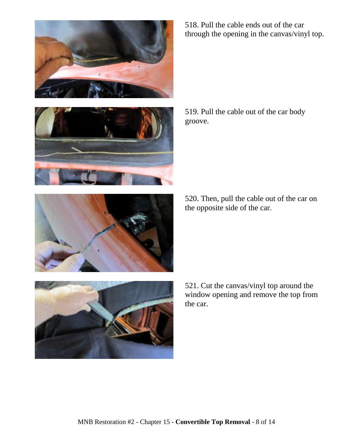





519. Pull the cable out of the car body groove.

520. Then, pull the cable out of the car on the opposite side of the car.



521. Cut the canvas/vinyl top around the window opening and remove the top from the car.

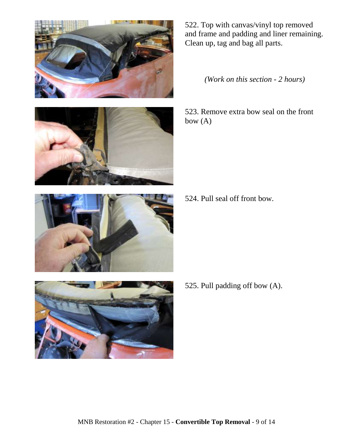



522. Top with canvas/vinyl top removed and frame and padding and liner remaining. Clean up, tag and bag all parts.

*(Work on this section - 2 hours)*

523. Remove extra bow seal on the front bow (A)

524. Pull seal off front bow.



525. Pull padding off bow (A).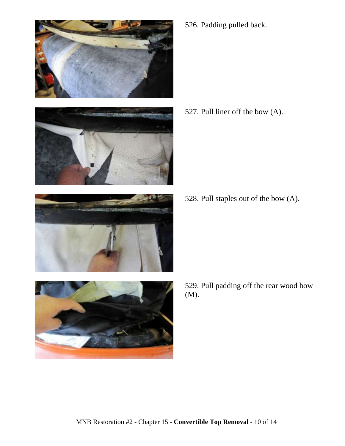







526. Padding pulled back.

527. Pull liner off the bow (A).

528. Pull staples out of the bow (A).

529. Pull padding off the rear wood bow (M).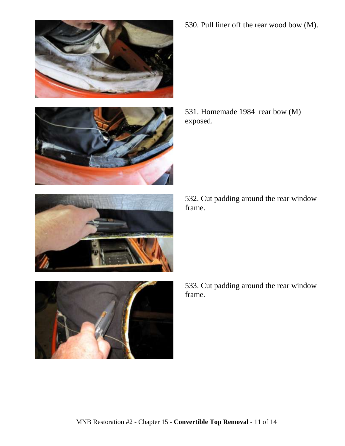







532. Cut padding around the rear window frame.



533. Cut padding around the rear window frame.

530. Pull liner off the rear wood bow (M).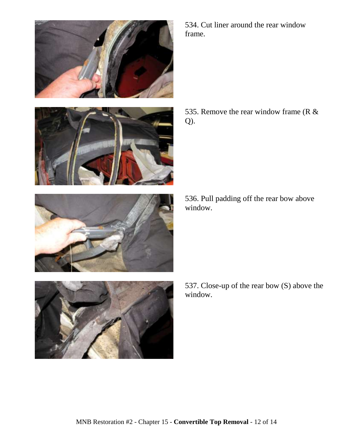

534. Cut liner around the rear window frame.

535. Remove the rear window frame ( $R \&$ Q).

536. Pull padding off the rear bow above window.



537. Close-up of the rear bow (S) above the window.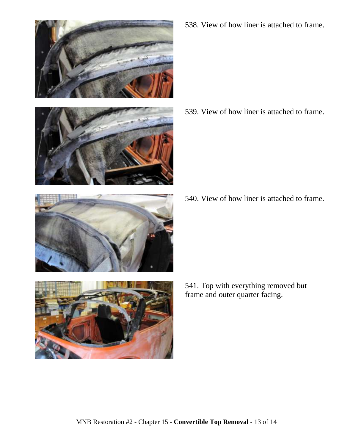



538. View of how liner is attached to frame.

539. View of how liner is attached to frame.

540. View of how liner is attached to frame.



541. Top with everything removed but frame and outer quarter facing.